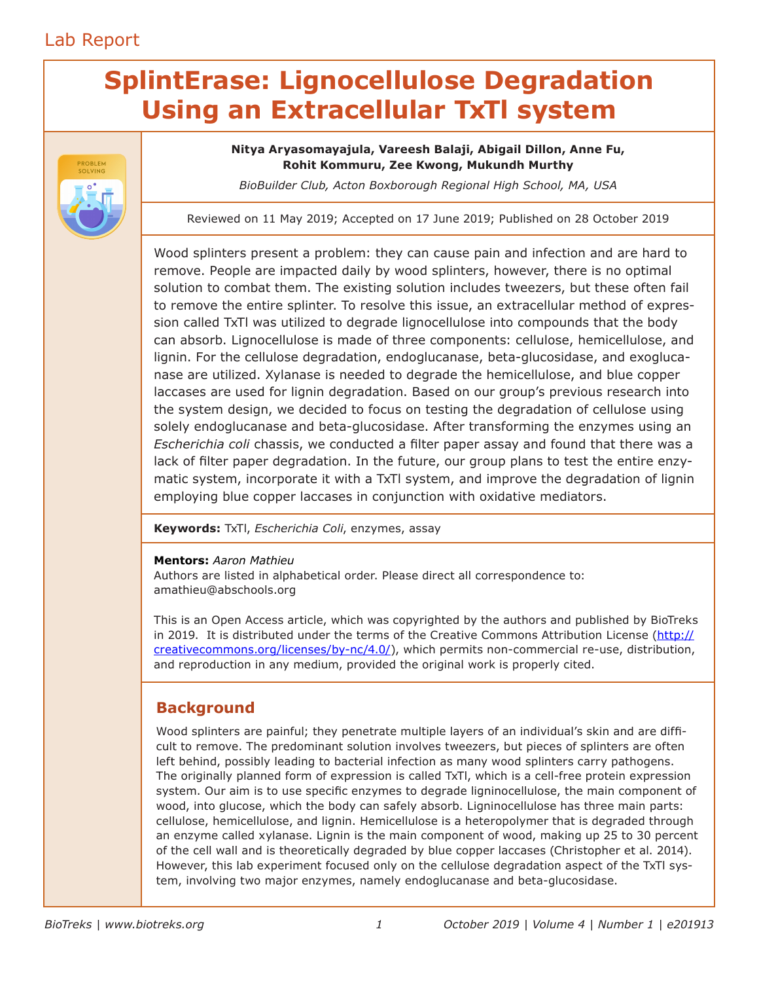# **SplintErase: Lignocellulose Degradation Using an Extracellular TxTl system**



### **Nitya Aryasomayajula, Vareesh Balaji, Abigail Dillon, Anne Fu, Rohit Kommuru, Zee Kwong, Mukundh Murthy**

*BioBuilder Club, Acton Boxborough Regional High School, MA, USA*

Reviewed on 11 May 2019; Accepted on 17 June 2019; Published on 28 October 2019

Wood splinters present a problem: they can cause pain and infection and are hard to remove. People are impacted daily by wood splinters, however, there is no optimal solution to combat them. The existing solution includes tweezers, but these often fail to remove the entire splinter. To resolve this issue, an extracellular method of expression called TxTl was utilized to degrade lignocellulose into compounds that the body can absorb. Lignocellulose is made of three components: cellulose, hemicellulose, and lignin. For the cellulose degradation, endoglucanase, beta-glucosidase, and exoglucanase are utilized. Xylanase is needed to degrade the hemicellulose, and blue copper laccases are used for lignin degradation. Based on our group's previous research into the system design, we decided to focus on testing the degradation of cellulose using solely endoglucanase and beta-glucosidase. After transforming the enzymes using an *Escherichia coli* chassis, we conducted a filter paper assay and found that there was a lack of filter paper degradation. In the future, our group plans to test the entire enzymatic system, incorporate it with a TxTl system, and improve the degradation of lignin employing blue copper laccases in conjunction with oxidative mediators.

**Keywords:** TxTl, *Escherichia Coli*, enzymes, assay

#### **Mentors:** *Aaron Mathieu*

Authors are listed in alphabetical order. Please direct all correspondence to: amathieu@abschools.org

This is an Open Access article, which was copyrighted by the authors and published by BioTreks in 2019. It is distributed under the terms of the Creative Commons Attribution License (http:// creativecommons.org/licenses/by-nc/4.0/), which permits non-commercial re-use, distribution, and reproduction in any medium, provided the original work is properly cited.

# **Background**

Wood splinters are painful; they penetrate multiple layers of an individual's skin and are difficult to remove. The predominant solution involves tweezers, but pieces of splinters are often left behind, possibly leading to bacterial infection as many wood splinters carry pathogens. The originally planned form of expression is called TxTl, which is a cell-free protein expression system. Our aim is to use specific enzymes to degrade ligninocellulose, the main component of wood, into glucose, which the body can safely absorb. Ligninocellulose has three main parts: cellulose, hemicellulose, and lignin. Hemicellulose is a heteropolymer that is degraded through an enzyme called xylanase. Lignin is the main component of wood, making up 25 to 30 percent of the cell wall and is theoretically degraded by blue copper laccases (Christopher et al. 2014). However, this lab experiment focused only on the cellulose degradation aspect of the TxTl system, involving two major enzymes, namely endoglucanase and beta-glucosidase.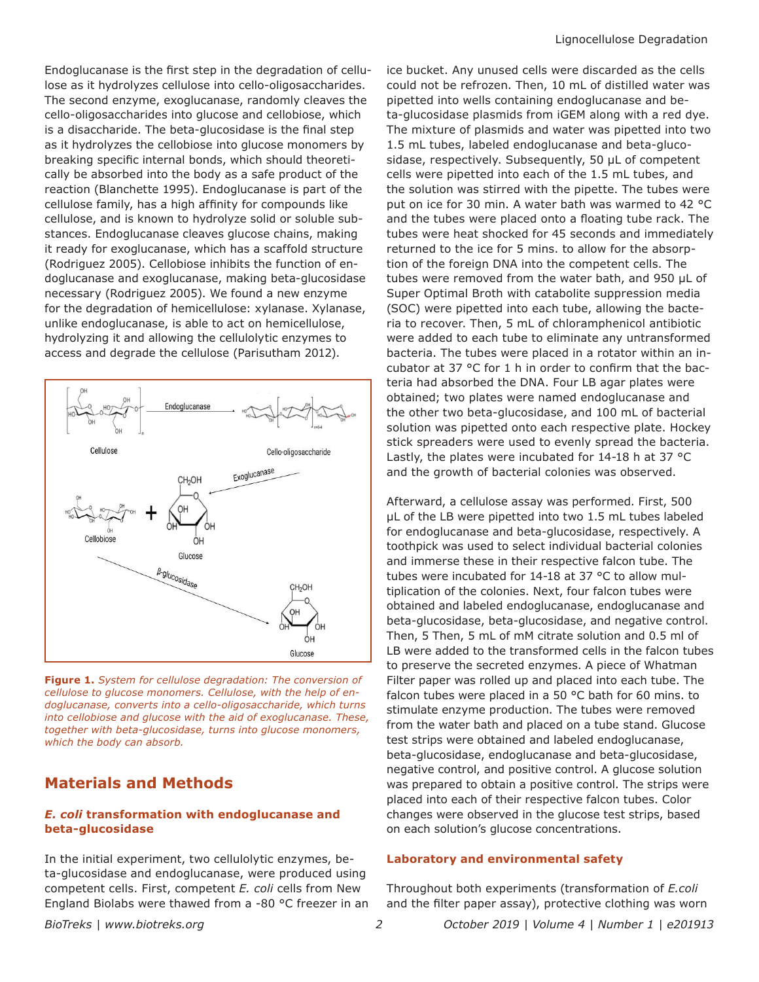Endoglucanase is the first step in the degradation of cellulose as it hydrolyzes cellulose into cello-oligosaccharides. The second enzyme, exoglucanase, randomly cleaves the cello-oligosaccharides into glucose and cellobiose, which is a disaccharide. The beta-glucosidase is the final step as it hydrolyzes the cellobiose into glucose monomers by breaking specific internal bonds, which should theoretically be absorbed into the body as a safe product of the reaction (Blanchette 1995). Endoglucanase is part of the cellulose family, has a high affinity for compounds like cellulose, and is known to hydrolyze solid or soluble substances. Endoglucanase cleaves glucose chains, making it ready for exoglucanase, which has a scaffold structure (Rodriguez 2005). Cellobiose inhibits the function of endoglucanase and exoglucanase, making beta-glucosidase necessary (Rodriguez 2005). We found a new enzyme for the degradation of hemicellulose: xylanase. Xylanase, unlike endoglucanase, is able to act on hemicellulose, hydrolyzing it and allowing the cellulolytic enzymes to access and degrade the cellulose (Parisutham 2012).



**Figure 1.** *System for cellulose degradation: The conversion of cellulose to glucose monomers. Cellulose, with the help of endoglucanase, converts into a cello-oligosaccharide, which turns into cellobiose and glucose with the aid of exoglucanase. These, together with beta-glucosidase, turns into glucose monomers, which the body can absorb.*

# **Materials and Methods**

#### *E. coli* **transformation with endoglucanase and beta-glucosidase**

In the initial experiment, two cellulolytic enzymes, beta-glucosidase and endoglucanase, were produced using competent cells. First, competent *E. coli* cells from New England Biolabs were thawed from a -80 °C freezer in an ice bucket. Any unused cells were discarded as the cells could not be refrozen. Then, 10 mL of distilled water was pipetted into wells containing endoglucanase and beta-glucosidase plasmids from iGEM along with a red dye. The mixture of plasmids and water was pipetted into two 1.5 mL tubes, labeled endoglucanase and beta-glucosidase, respectively. Subsequently, 50 μL of competent cells were pipetted into each of the 1.5 mL tubes, and the solution was stirred with the pipette. The tubes were put on ice for 30 min. A water bath was warmed to 42 °C and the tubes were placed onto a floating tube rack. The tubes were heat shocked for 45 seconds and immediately returned to the ice for 5 mins. to allow for the absorption of the foreign DNA into the competent cells. The tubes were removed from the water bath, and 950 μL of Super Optimal Broth with catabolite suppression media (SOC) were pipetted into each tube, allowing the bacteria to recover. Then, 5 mL of chloramphenicol antibiotic were added to each tube to eliminate any untransformed bacteria. The tubes were placed in a rotator within an incubator at 37 °C for 1 h in order to confirm that the bacteria had absorbed the DNA. Four LB agar plates were obtained; two plates were named endoglucanase and the other two beta-glucosidase, and 100 mL of bacterial solution was pipetted onto each respective plate. Hockey stick spreaders were used to evenly spread the bacteria. Lastly, the plates were incubated for 14-18 h at 37 °C and the growth of bacterial colonies was observed.

Afterward, a cellulose assay was performed. First, 500 μL of the LB were pipetted into two 1.5 mL tubes labeled for endoglucanase and beta-glucosidase, respectively. A toothpick was used to select individual bacterial colonies and immerse these in their respective falcon tube. The tubes were incubated for 14-18 at 37 °C to allow multiplication of the colonies. Next, four falcon tubes were obtained and labeled endoglucanase, endoglucanase and beta-glucosidase, beta-glucosidase, and negative control. Then, 5 Then, 5 mL of mM citrate solution and 0.5 ml of LB were added to the transformed cells in the falcon tubes to preserve the secreted enzymes. A piece of Whatman Filter paper was rolled up and placed into each tube. The falcon tubes were placed in a 50 °C bath for 60 mins. to stimulate enzyme production. The tubes were removed from the water bath and placed on a tube stand. Glucose test strips were obtained and labeled endoglucanase, beta-glucosidase, endoglucanase and beta-glucosidase, negative control, and positive control. A glucose solution was prepared to obtain a positive control. The strips were placed into each of their respective falcon tubes. Color changes were observed in the glucose test strips, based on each solution's glucose concentrations.

#### **Laboratory and environmental safety**

Throughout both experiments (transformation of *E.coli*  and the filter paper assay), protective clothing was worn

*BioTreks | www.biotreks.org October 2019 | Volume 4 | Number 1 | e201913*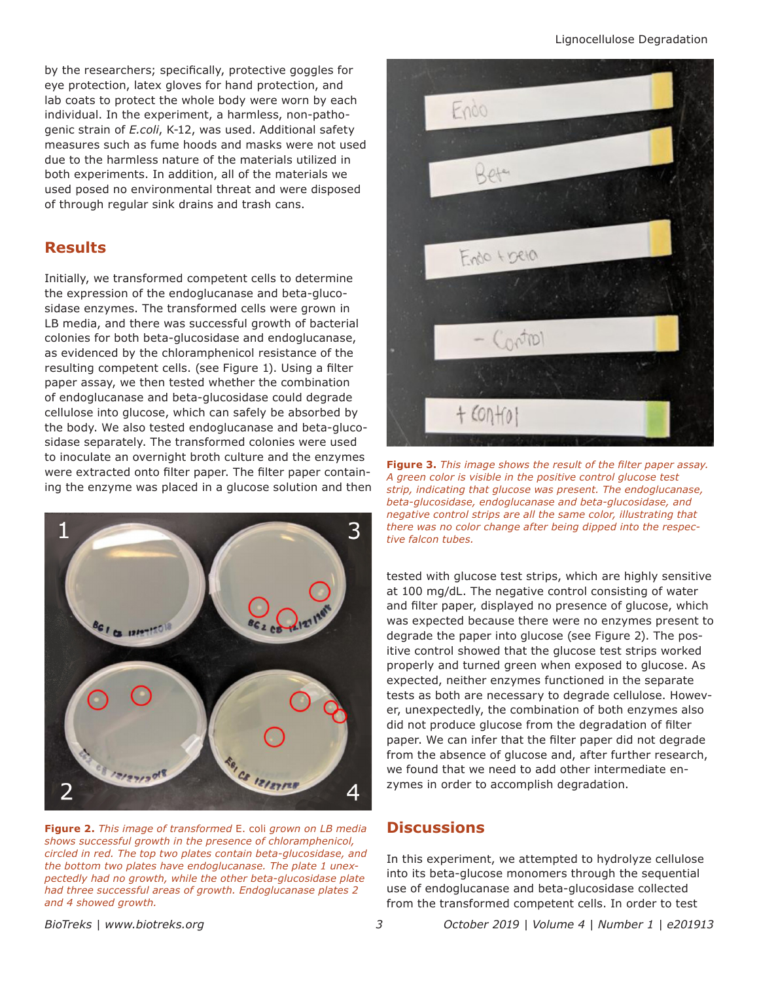by the researchers; specifically, protective goggles for eye protection, latex gloves for hand protection, and lab coats to protect the whole body were worn by each individual. In the experiment, a harmless, non-pathogenic strain of *E.coli*, K-12, was used. Additional safety measures such as fume hoods and masks were not used due to the harmless nature of the materials utilized in both experiments. In addition, all of the materials we used posed no environmental threat and were disposed of through regular sink drains and trash cans.

## **Results**

Initially, we transformed competent cells to determine the expression of the endoglucanase and beta-glucosidase enzymes. The transformed cells were grown in LB media, and there was successful growth of bacterial colonies for both beta-glucosidase and endoglucanase, as evidenced by the chloramphenicol resistance of the resulting competent cells. (see Figure 1). Using a filter paper assay, we then tested whether the combination of endoglucanase and beta-glucosidase could degrade cellulose into glucose, which can safely be absorbed by the body. We also tested endoglucanase and beta-glucosidase separately. The transformed colonies were used to inoculate an overnight broth culture and the enzymes were extracted onto filter paper. The filter paper containing the enzyme was placed in a glucose solution and then



**Figure 2.** *This image of transformed* E. coli *grown on LB media shows successful growth in the presence of chloramphenicol, circled in red. The top two plates contain beta-glucosidase, and the bottom two plates have endoglucanase. The plate 1 unexpectedly had no growth, while the other beta-glucosidase plate had three successful areas of growth. Endoglucanase plates 2 and 4 showed growth.*



**Figure 3.** *This image shows the result of the filter paper assay. A green color is visible in the positive control glucose test strip, indicating that glucose was present. The endoglucanase, beta-glucosidase, endoglucanase and beta-glucosidase, and negative control strips are all the same color, illustrating that there was no color change after being dipped into the respective falcon tubes.*

tested with glucose test strips, which are highly sensitive at 100 mg/dL. The negative control consisting of water and filter paper, displayed no presence of glucose, which was expected because there were no enzymes present to degrade the paper into glucose (see Figure 2). The positive control showed that the glucose test strips worked properly and turned green when exposed to glucose. As expected, neither enzymes functioned in the separate tests as both are necessary to degrade cellulose. However, unexpectedly, the combination of both enzymes also did not produce glucose from the degradation of filter paper. We can infer that the filter paper did not degrade from the absence of glucose and, after further research, we found that we need to add other intermediate enzymes in order to accomplish degradation.

### **Discussions**

In this experiment, we attempted to hydrolyze cellulose into its beta-glucose monomers through the sequential use of endoglucanase and beta-glucosidase collected from the transformed competent cells. In order to test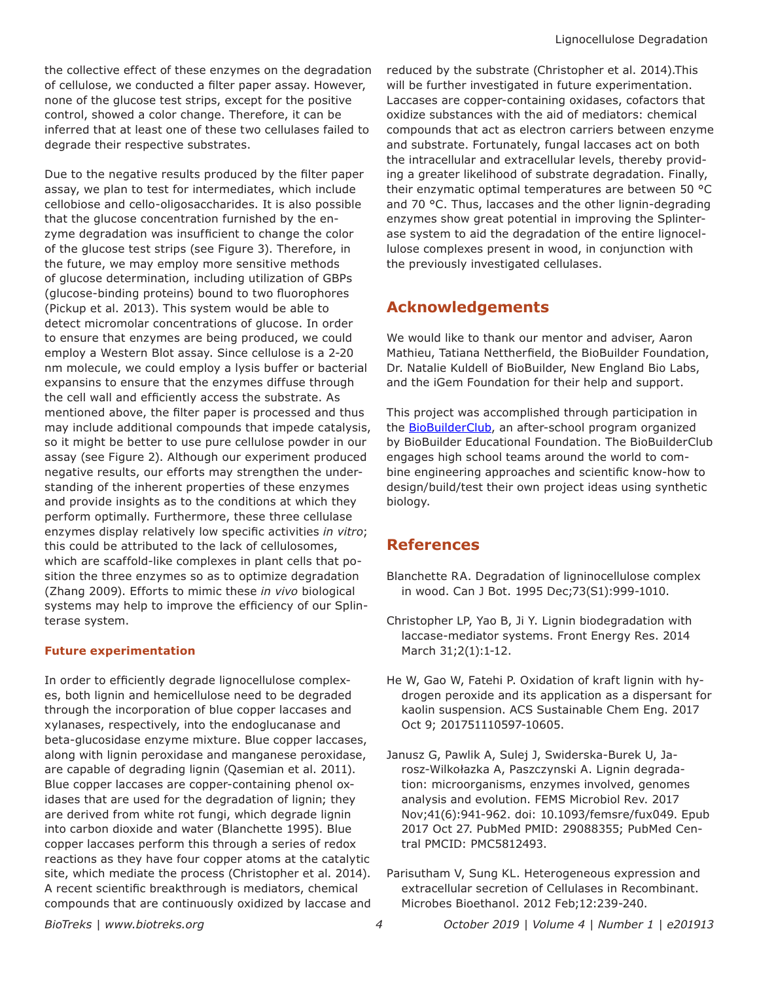the collective effect of these enzymes on the degradation of cellulose, we conducted a filter paper assay. However, none of the glucose test strips, except for the positive control, showed a color change. Therefore, it can be inferred that at least one of these two cellulases failed to degrade their respective substrates.

Due to the negative results produced by the filter paper assay, we plan to test for intermediates, which include cellobiose and cello-oligosaccharides. It is also possible that the glucose concentration furnished by the enzyme degradation was insufficient to change the color of the glucose test strips (see Figure 3). Therefore, in the future, we may employ more sensitive methods of glucose determination, including utilization of GBPs (glucose-binding proteins) bound to two fluorophores (Pickup et al. 2013). This system would be able to detect micromolar concentrations of glucose. In order to ensure that enzymes are being produced, we could employ a Western Blot assay. Since cellulose is a 2-20 nm molecule, we could employ a lysis buffer or bacterial expansins to ensure that the enzymes diffuse through the cell wall and efficiently access the substrate. As mentioned above, the filter paper is processed and thus may include additional compounds that impede catalysis, so it might be better to use pure cellulose powder in our assay (see Figure 2). Although our experiment produced negative results, our efforts may strengthen the understanding of the inherent properties of these enzymes and provide insights as to the conditions at which they perform optimally. Furthermore, these three cellulase enzymes display relatively low specific activities *in vitro*; this could be attributed to the lack of cellulosomes, which are scaffold-like complexes in plant cells that position the three enzymes so as to optimize degradation (Zhang 2009). Efforts to mimic these *in vivo* biological systems may help to improve the efficiency of our Splinterase system.

#### **Future experimentation**

In order to efficiently degrade lignocellulose complexes, both lignin and hemicellulose need to be degraded through the incorporation of blue copper laccases and xylanases, respectively, into the endoglucanase and beta-glucosidase enzyme mixture. Blue copper laccases, along with lignin peroxidase and manganese peroxidase, are capable of degrading lignin (Qasemian et al. 2011). Blue copper laccases are copper-containing phenol oxidases that are used for the degradation of lignin; they are derived from white rot fungi, which degrade lignin into carbon dioxide and water (Blanchette 1995). Blue copper laccases perform this through a series of redox reactions as they have four copper atoms at the catalytic site, which mediate the process (Christopher et al. 2014). A recent scientific breakthrough is mediators, chemical compounds that are continuously oxidized by laccase and reduced by the substrate (Christopher et al. 2014).This will be further investigated in future experimentation. Laccases are copper-containing oxidases, cofactors that oxidize substances with the aid of mediators: chemical compounds that act as electron carriers between enzyme and substrate. Fortunately, fungal laccases act on both the intracellular and extracellular levels, thereby providing a greater likelihood of substrate degradation. Finally, their enzymatic optimal temperatures are between 50 °C and 70 °C. Thus, laccases and the other lignin-degrading enzymes show great potential in improving the Splinterase system to aid the degradation of the entire lignocellulose complexes present in wood, in conjunction with the previously investigated cellulases.

# **Acknowledgements**

We would like to thank our mentor and adviser, Aaron Mathieu, Tatiana Nettherfield, the BioBuilder Foundation, Dr. Natalie Kuldell of BioBuilder, New England Bio Labs, and the iGem Foundation for their help and support.

This project was accomplished through participation in the **BioBuilderClub**, an after-school program organized by BioBuilder Educational Foundation. The BioBuilderClub engages high school teams around the world to combine engineering approaches and scientific know-how to design/build/test their own project ideas using synthetic biology.

# **References**

- Blanchette RA. Degradation of ligninocellulose complex in wood. Can J Bot. 1995 Dec;73(S1):999-1010.
- Christopher LP, Yao B, Ji Y. Lignin biodegradation with laccase-mediator systems. Front Energy Res. 2014 March 31;2(1):1-12.
- He W, Gao W, Fatehi P. Oxidation of kraft lignin with hydrogen peroxide and its application as a dispersant for kaolin suspension. ACS Sustainable Chem Eng. 2017 Oct 9; 201751110597-10605.
- Janusz G, Pawlik A, Sulej J, Swiderska-Burek U, Jarosz-Wilkołazka A, Paszczynski A. Lignin degradation: microorganisms, enzymes involved, genomes analysis and evolution. FEMS Microbiol Rev. 2017 Nov;41(6):941-962. doi: 10.1093/femsre/fux049. Epub 2017 Oct 27. PubMed PMID: 29088355; PubMed Central PMCID: PMC5812493.
- Parisutham V, Sung KL. Heterogeneous expression and extracellular secretion of Cellulases in Recombinant. Microbes Bioethanol. 2012 Feb;12:239-240.